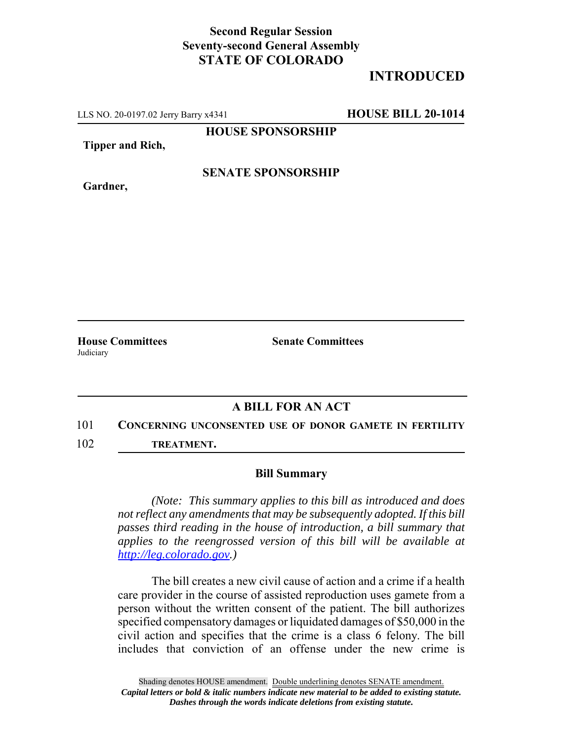## **Second Regular Session Seventy-second General Assembly STATE OF COLORADO**

# **INTRODUCED**

LLS NO. 20-0197.02 Jerry Barry x4341 **HOUSE BILL 20-1014**

**HOUSE SPONSORSHIP**

**Tipper and Rich,**

**Gardner,**

## **SENATE SPONSORSHIP**

**House Committees Senate Committees** Judiciary

### **A BILL FOR AN ACT**

#### 101 **CONCERNING UNCONSENTED USE OF DONOR GAMETE IN FERTILITY**

102 **TREATMENT.**

#### **Bill Summary**

*(Note: This summary applies to this bill as introduced and does not reflect any amendments that may be subsequently adopted. If this bill passes third reading in the house of introduction, a bill summary that applies to the reengrossed version of this bill will be available at http://leg.colorado.gov.)*

The bill creates a new civil cause of action and a crime if a health care provider in the course of assisted reproduction uses gamete from a person without the written consent of the patient. The bill authorizes specified compensatory damages or liquidated damages of \$50,000 in the civil action and specifies that the crime is a class 6 felony. The bill includes that conviction of an offense under the new crime is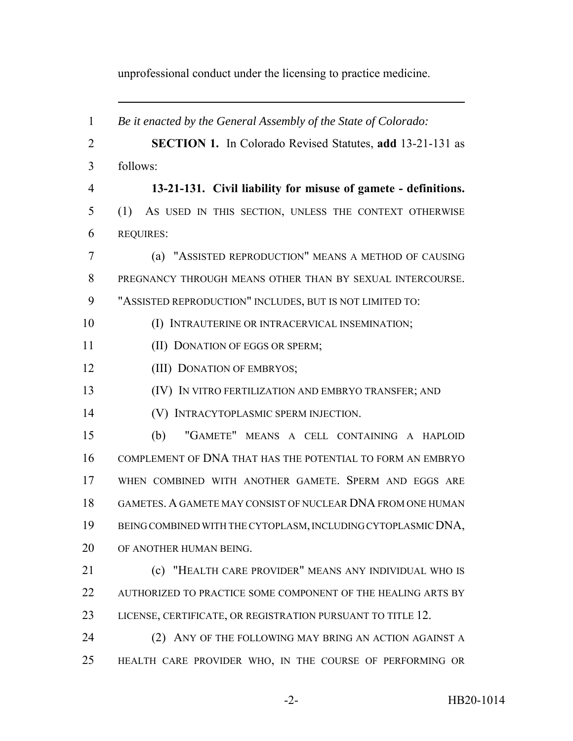unprofessional conduct under the licensing to practice medicine.

| $\mathbf{1}$   | Be it enacted by the General Assembly of the State of Colorado:  |
|----------------|------------------------------------------------------------------|
| $\overline{2}$ | <b>SECTION 1.</b> In Colorado Revised Statutes, add 13-21-131 as |
| 3              | follows:                                                         |
| $\overline{4}$ | 13-21-131. Civil liability for misuse of gamete - definitions.   |
| 5              | (1)<br>AS USED IN THIS SECTION, UNLESS THE CONTEXT OTHERWISE     |
| 6              | <b>REQUIRES:</b>                                                 |
| 7              | (a) "ASSISTED REPRODUCTION" MEANS A METHOD OF CAUSING            |
| 8              | PREGNANCY THROUGH MEANS OTHER THAN BY SEXUAL INTERCOURSE.        |
| 9              | "ASSISTED REPRODUCTION" INCLUDES, BUT IS NOT LIMITED TO:         |
| 10             | (I) INTRAUTERINE OR INTRACERVICAL INSEMINATION;                  |
| 11             | (II) DONATION OF EGGS OR SPERM;                                  |
| 12             | (III) DONATION OF EMBRYOS;                                       |
| 13             | (IV) IN VITRO FERTILIZATION AND EMBRYO TRANSFER; AND             |
| 14             | (V) INTRACYTOPLASMIC SPERM INJECTION.                            |
| 15             | "GAMETE" MEANS A CELL CONTAINING A HAPLOID<br>(b)                |
| 16             | COMPLEMENT OF DNA THAT HAS THE POTENTIAL TO FORM AN EMBRYO       |
| 17             | WHEN COMBINED WITH ANOTHER GAMETE. SPERM AND EGGS ARE            |
| 18             | GAMETES. A GAMETE MAY CONSIST OF NUCLEAR DNA FROM ONE HUMAN      |
| 19             | BEING COMBINED WITH THE CYTOPLASM, INCLUDING CYTOPLASMIC DNA,    |
| 20             | OF ANOTHER HUMAN BEING.                                          |
| 21             | (c) "HEALTH CARE PROVIDER" MEANS ANY INDIVIDUAL WHO IS           |
| 22             | AUTHORIZED TO PRACTICE SOME COMPONENT OF THE HEALING ARTS BY     |
| 23             | LICENSE, CERTIFICATE, OR REGISTRATION PURSUANT TO TITLE 12.      |
| 24             | (2) ANY OF THE FOLLOWING MAY BRING AN ACTION AGAINST A           |
| 25             | HEALTH CARE PROVIDER WHO, IN THE COURSE OF PERFORMING OR         |
|                |                                                                  |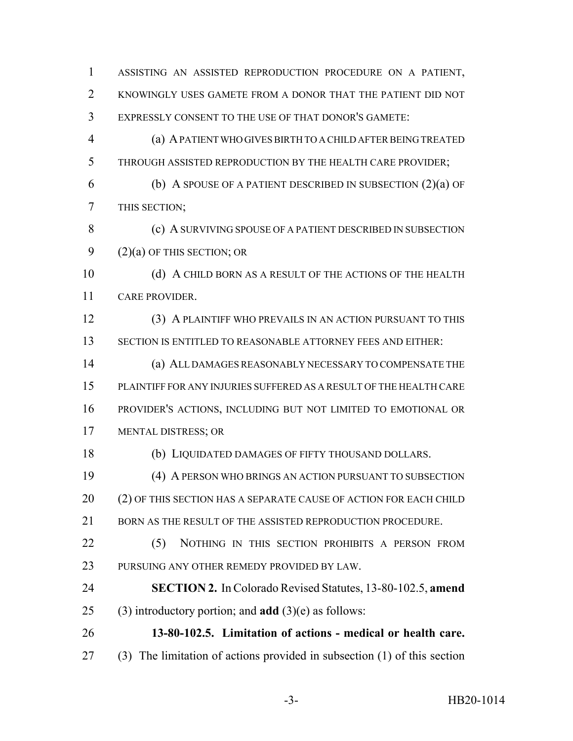ASSISTING AN ASSISTED REPRODUCTION PROCEDURE ON A PATIENT, KNOWINGLY USES GAMETE FROM A DONOR THAT THE PATIENT DID NOT EXPRESSLY CONSENT TO THE USE OF THAT DONOR'S GAMETE: (a) A PATIENT WHO GIVES BIRTH TO A CHILD AFTER BEING TREATED THROUGH ASSISTED REPRODUCTION BY THE HEALTH CARE PROVIDER; (b) A SPOUSE OF A PATIENT DESCRIBED IN SUBSECTION (2)(a) OF THIS SECTION; 8 (c) A SURVIVING SPOUSE OF A PATIENT DESCRIBED IN SUBSECTION 9 (2)(a) OF THIS SECTION; OR 10 (d) A CHILD BORN AS A RESULT OF THE ACTIONS OF THE HEALTH CARE PROVIDER. (3) A PLAINTIFF WHO PREVAILS IN AN ACTION PURSUANT TO THIS SECTION IS ENTITLED TO REASONABLE ATTORNEY FEES AND EITHER: (a) ALL DAMAGES REASONABLY NECESSARY TO COMPENSATE THE PLAINTIFF FOR ANY INJURIES SUFFERED AS A RESULT OF THE HEALTH CARE PROVIDER'S ACTIONS, INCLUDING BUT NOT LIMITED TO EMOTIONAL OR MENTAL DISTRESS; OR (b) LIQUIDATED DAMAGES OF FIFTY THOUSAND DOLLARS. (4) A PERSON WHO BRINGS AN ACTION PURSUANT TO SUBSECTION (2) OF THIS SECTION HAS A SEPARATE CAUSE OF ACTION FOR EACH CHILD 21 BORN AS THE RESULT OF THE ASSISTED REPRODUCTION PROCEDURE. 22 (5) NOTHING IN THIS SECTION PROHIBITS A PERSON FROM PURSUING ANY OTHER REMEDY PROVIDED BY LAW. **SECTION 2.** In Colorado Revised Statutes, 13-80-102.5, **amend** (3) introductory portion; and **add** (3)(e) as follows: **13-80-102.5. Limitation of actions - medical or health care.** (3) The limitation of actions provided in subsection (1) of this section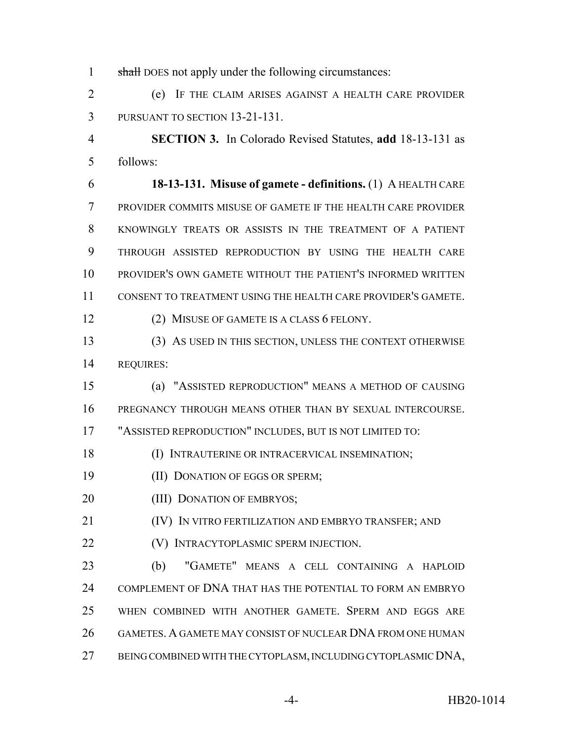1 shall DOES not apply under the following circumstances:

 (e) IF THE CLAIM ARISES AGAINST A HEALTH CARE PROVIDER PURSUANT TO SECTION 13-21-131.

 **SECTION 3.** In Colorado Revised Statutes, **add** 18-13-131 as follows:

 **18-13-131. Misuse of gamete - definitions.** (1) A HEALTH CARE PROVIDER COMMITS MISUSE OF GAMETE IF THE HEALTH CARE PROVIDER KNOWINGLY TREATS OR ASSISTS IN THE TREATMENT OF A PATIENT THROUGH ASSISTED REPRODUCTION BY USING THE HEALTH CARE PROVIDER'S OWN GAMETE WITHOUT THE PATIENT'S INFORMED WRITTEN CONSENT TO TREATMENT USING THE HEALTH CARE PROVIDER'S GAMETE.

(2) MISUSE OF GAMETE IS A CLASS 6 FELONY.

 (3) AS USED IN THIS SECTION, UNLESS THE CONTEXT OTHERWISE REQUIRES:

 (a) "ASSISTED REPRODUCTION" MEANS A METHOD OF CAUSING PREGNANCY THROUGH MEANS OTHER THAN BY SEXUAL INTERCOURSE.

"ASSISTED REPRODUCTION" INCLUDES, BUT IS NOT LIMITED TO:

(I) INTRAUTERINE OR INTRACERVICAL INSEMINATION;

- (II) DONATION OF EGGS OR SPERM;
- 20 (III) DONATION OF EMBRYOS;

21 (IV) IN VITRO FERTILIZATION AND EMBRYO TRANSFER; AND

(V) INTRACYTOPLASMIC SPERM INJECTION.

 (b) "GAMETE" MEANS A CELL CONTAINING A HAPLOID COMPLEMENT OF DNA THAT HAS THE POTENTIAL TO FORM AN EMBRYO WHEN COMBINED WITH ANOTHER GAMETE. SPERM AND EGGS ARE GAMETES. A GAMETE MAY CONSIST OF NUCLEAR DNA FROM ONE HUMAN BEING COMBINED WITH THE CYTOPLASM, INCLUDING CYTOPLASMIC DNA,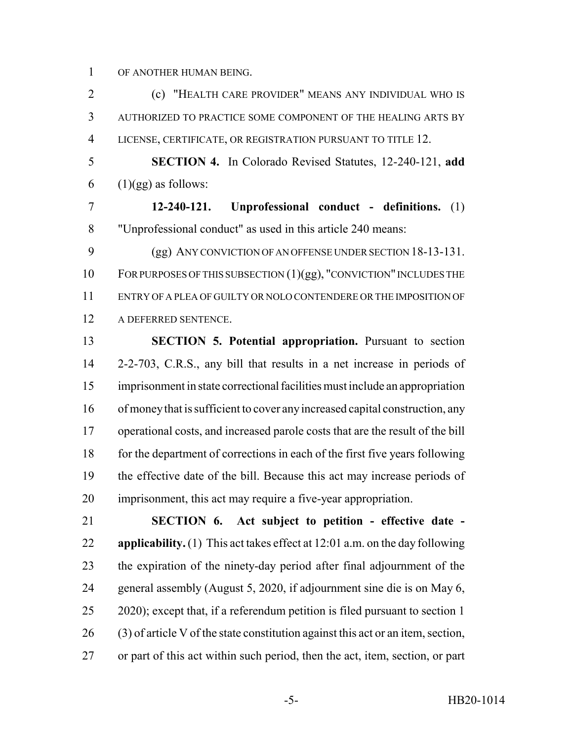OF ANOTHER HUMAN BEING.

 (c) "HEALTH CARE PROVIDER" MEANS ANY INDIVIDUAL WHO IS AUTHORIZED TO PRACTICE SOME COMPONENT OF THE HEALING ARTS BY LICENSE, CERTIFICATE, OR REGISTRATION PURSUANT TO TITLE 12.

 **SECTION 4.** In Colorado Revised Statutes, 12-240-121, **add** 6  $(1)(gg)$  as follows:

 **12-240-121. Unprofessional conduct - definitions.** (1) "Unprofessional conduct" as used in this article 240 means:

 (gg) ANY CONVICTION OF AN OFFENSE UNDER SECTION 18-13-131. FOR PURPOSES OF THIS SUBSECTION (1)(gg), "CONVICTION" INCLUDES THE ENTRY OF A PLEA OF GUILTY OR NOLO CONTENDERE OR THE IMPOSITION OF A DEFERRED SENTENCE.

 **SECTION 5. Potential appropriation.** Pursuant to section 2-2-703, C.R.S., any bill that results in a net increase in periods of imprisonment in state correctional facilities must include an appropriation of money that is sufficient to cover any increased capital construction, any operational costs, and increased parole costs that are the result of the bill 18 for the department of corrections in each of the first five years following the effective date of the bill. Because this act may increase periods of imprisonment, this act may require a five-year appropriation.

 **SECTION 6. Act subject to petition - effective date - applicability.** (1) This act takes effect at 12:01 a.m. on the day following the expiration of the ninety-day period after final adjournment of the general assembly (August 5, 2020, if adjournment sine die is on May 6, 2020); except that, if a referendum petition is filed pursuant to section 1 (3) of article V of the state constitution against this act or an item, section, or part of this act within such period, then the act, item, section, or part